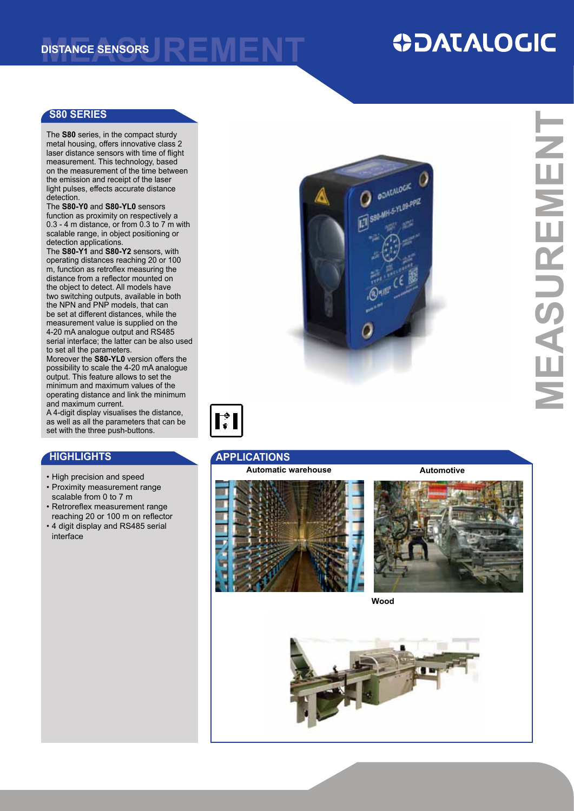# **ODATALOGIC**

### **S80 SERIES**

The **S80** series, in the compact sturdy metal housing, offers innovative class 2 laser distance sensors with time of flight measurement. This technology, based on the measurement of the time between the emission and receipt of the laser light pulses, effects accurate distance detection

The **S80-Y0** and **S80-YL0** sensors function as proximity on respectively a 0.3 - 4 m distance, or from 0.3 to 7 m with scalable range, in object positioning or detection applications.

The **S80-Y1** and **S80-Y2** sensors, with operating distances reaching 20 or 100 m, function as retroflex measuring the distance from a reflector mounted on the object to detect. All models have two switching outputs, available in both the NPN and PNP models, that can be set at different distances, while the measurement value is supplied on the 4-20 mA analogue output and RS485 serial interface; the latter can be also used to set all the parameters.

moreover the **S80-YL0** version offers the possibility to scale the 4-20 mA analogue output. This feature allows to set the minimum and maximum values of the operating distance and link the minimum and maximum current.

a 4-digit display visualises the distance, as well as all the parameters that can be set with the three push-buttons.

- high precision and speed
- Proximity measurement range scalable from 0 to 7 m
- Retroreflex measurement range reaching 20 or 100 m on reflector
- 4 digit display and RS485 serial interface



**MeASUReMeNT**MEASUREMENT

Ħ

## **HIGHLIGHTS APPLICATIONS**

### **Automatic warehouse Automotive**



**Wood**

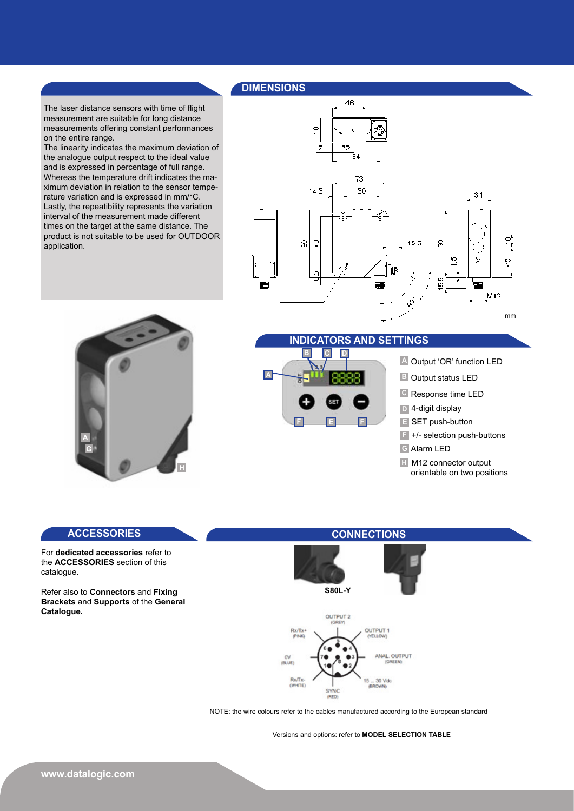### **DIMeNSIONS**

The laser distance sensors with time of flight measurement are suitable for long distance measurements offering constant performances on the entire range.

The linearity indicates the maximum deviation of the analogue output respect to the ideal value and is expressed in percentage of full range. whereas the temperature drift indicates the maximum deviation in relation to the sensor temperature variation and is expressed in mm/°c. Lastly, the repeatibility represents the variation interval of the measurement made different times on the target at the same distance. The product is not suitable to be used for OUTDOOR application.





### **INDICATORS AND SeTTINGS**

| $\overline{\mathbf{A}}$ | C <br>G<br>$\mathbf{D}$ |          |   |  |  |  |
|-------------------------|-------------------------|----------|---|--|--|--|
|                         | 23                      | SET<br>E | s |  |  |  |

### **A** Output 'OR' function LED

- **B** Output status LED
- **C** Response time LED
- 4-digit display **D**
- **E** SET push-button
- +/- selection push-buttons **F**
	-
- **G** Alarm LED
- **H** M12 connector output orientable on two positions

for **dedicated accessories** refer to the **ACCeSSORIeS** section of this catalogue.

refer also to **Connectors** and **Fixing Brackets** and **Supports** of the **General Catalogue.** 

### **ACCeSSORIeS CONNeCTIONS**





NOTE: the wire colours refer to the cables manufactured according to the European standard

versions and options: refer to **MODeL SeLeCTION TABLe**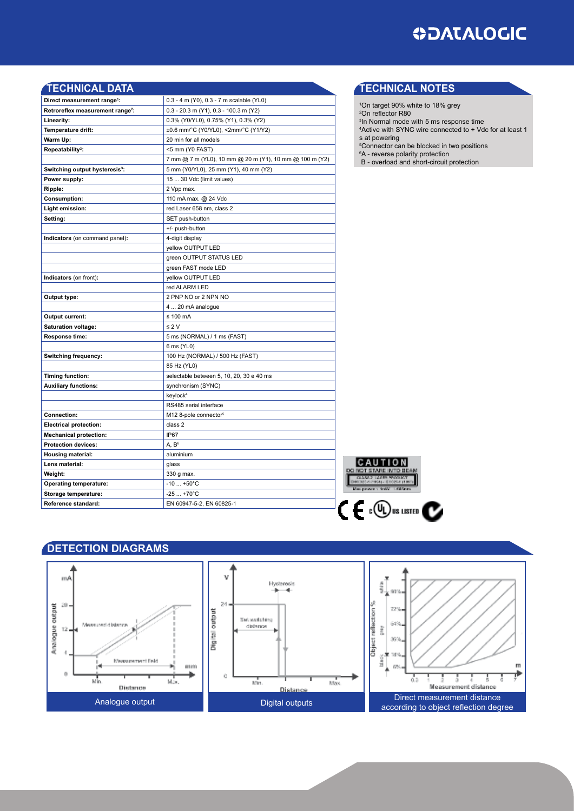

| <b>TECHNICAL DATA</b>                        |                                                         |  |  |  |
|----------------------------------------------|---------------------------------------------------------|--|--|--|
| Direct measurement range <sup>1</sup> :      | 0.3 - 4 m (Y0), 0.3 - 7 m scalable (YL0)                |  |  |  |
| Retroreflex measurement range <sup>2</sup> : | $0.3 - 20.3$ m (Y1), $0.3 - 100.3$ m (Y2)               |  |  |  |
| Linearity:                                   | 0.3% (Y0/YL0), 0.75% (Y1), 0.3% (Y2)                    |  |  |  |
| Temperature drift:                           | ±0.6 mm/°C (Y0/YL0), <2mm/°C (Y1/Y2)                    |  |  |  |
| Warm Up:                                     | 20 min for all models                                   |  |  |  |
| Repeatability <sup>3</sup> :                 | <5 mm (Y0 FAST)                                         |  |  |  |
|                                              | 7 mm @ 7 m (YL0), 10 mm @ 20 m (Y1), 10 mm @ 100 m (Y2) |  |  |  |
| Switching output hysteresis <sup>3</sup> :   | 5 mm (Y0/YL0), 25 mm (Y1), 40 mm (Y2)                   |  |  |  |
| Power supply:                                | 15  30 Vdc (limit values)                               |  |  |  |
| Ripple:                                      | 2 Vpp max.                                              |  |  |  |
| <b>Consumption:</b>                          | 110 mA max. @ 24 Vdc                                    |  |  |  |
| Light emission:                              | red Laser 658 nm, class 2                               |  |  |  |
| Setting:                                     | SET push-button                                         |  |  |  |
|                                              | +/- push-button                                         |  |  |  |
| Indicators (on command panel):               | 4-digit display                                         |  |  |  |
|                                              | yellow OUTPUT LED                                       |  |  |  |
|                                              | green OUTPUT STATUS LED                                 |  |  |  |
|                                              | green FAST mode LED                                     |  |  |  |
| Indicators (on front):                       | yellow OUTPUT LED                                       |  |  |  |
|                                              | red ALARM LED                                           |  |  |  |
| Output type:                                 | 2 PNP NO or 2 NPN NO                                    |  |  |  |
|                                              | 4  20 mA analogue                                       |  |  |  |
| Output current:                              | $\leq 100$ mA                                           |  |  |  |
| Saturation voltage:                          | $\leq 2$ V                                              |  |  |  |
| Response time:                               | 5 ms (NORMAL) / 1 ms (FAST)                             |  |  |  |
|                                              | 6 ms (YL0)                                              |  |  |  |
| Switching frequency:                         | 100 Hz (NORMAL) / 500 Hz (FAST)                         |  |  |  |
|                                              | 85 Hz (YL0)                                             |  |  |  |
| <b>Timing function:</b>                      | selectable between 5, 10, 20, 30 e 40 ms                |  |  |  |
| <b>Auxiliary functions:</b>                  | synchronism (SYNC)                                      |  |  |  |
|                                              | keylock <sup>4</sup>                                    |  |  |  |
|                                              | RS485 serial interface                                  |  |  |  |
| Connection:                                  | M12 8-pole connector <sup>5</sup>                       |  |  |  |
| <b>Electrical protection:</b>                | class 2                                                 |  |  |  |
| <b>Mechanical protection:</b>                | IP67                                                    |  |  |  |
| <b>Protection devices:</b>                   | A, B <sup>6</sup>                                       |  |  |  |
| <b>Housing material:</b>                     | aluminium                                               |  |  |  |
| Lens material:                               | glass                                                   |  |  |  |
| Weight:                                      | 330 g max.                                              |  |  |  |
| <b>Operating temperature:</b>                | $-10$ $+50^{\circ}$ C                                   |  |  |  |
| Storage temperature:                         | $-25+70^{\circ}C$                                       |  |  |  |
| Reference standard:                          | EN 60947-5-2, EN 60825-1                                |  |  |  |

### **TeCHNICAL NOTeS**

- <sup>1</sup>On target 90% white to 18% grey <sup>2</sup>On reflector R80 <sup>3</sup>In Normal mode with 5 ms response time <sup>4</sup>Active with SYNC wire connected to + Vdc for at least 1 s at powering <sup>5</sup>connector can be blocked in two positions
- <sup>6</sup>A reverse polarity protection b - overload and short-circuit protection



## **DeTeCTION DIAGRAMS**